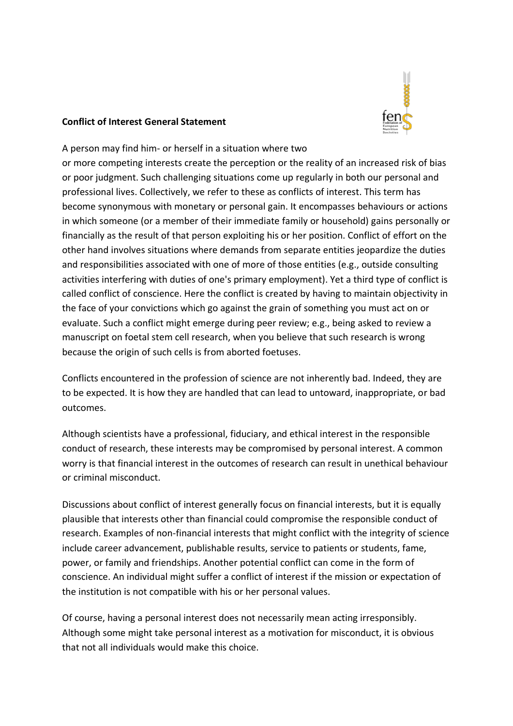

#### **Conflict of Interest General Statement**

A person may find him- or herself in a situation where two

or more competing interests create the perception or the reality of an increased risk of bias or poor judgment. Such challenging situations come up regularly in both our personal and professional lives. Collectively, we refer to these as conflicts of interest. This term has become synonymous with monetary or personal gain. It encompasses behaviours or actions in which someone (or a member of their immediate family or household) gains personally or financially as the result of that person exploiting his or her position. Conflict of effort on the other hand involves situations where demands from separate entities jeopardize the duties and responsibilities associated with one of more of those entities (e.g., outside consulting activities interfering with duties of one's primary employment). Yet a third type of conflict is called conflict of conscience. Here the conflict is created by having to maintain objectivity in the face of your convictions which go against the grain of something you must act on or evaluate. Such a conflict might emerge during peer review; e.g., being asked to review a manuscript on foetal stem cell research, when you believe that such research is wrong because the origin of such cells is from aborted foetuses.

Conflicts encountered in the profession of science are not inherently bad. Indeed, they are to be expected. It is how they are handled that can lead to untoward, inappropriate, or bad outcomes.

Although scientists have a professional, fiduciary, and ethical interest in the responsible conduct of research, these interests may be compromised by personal interest. A common worry is that financial interest in the outcomes of research can result in unethical behaviour or criminal misconduct.

Discussions about conflict of interest generally focus on financial interests, but it is equally plausible that interests other than financial could compromise the responsible conduct of research. Examples of non-financial interests that might conflict with the integrity of science include career advancement, publishable results, service to patients or students, fame, power, or family and friendships. Another potential conflict can come in the form of conscience. An individual might suffer a conflict of interest if the mission or expectation of the institution is not compatible with his or her personal values.

Of course, having a personal interest does not necessarily mean acting irresponsibly. Although some might take personal interest as a motivation for misconduct, it is obvious that not all individuals would make this choice.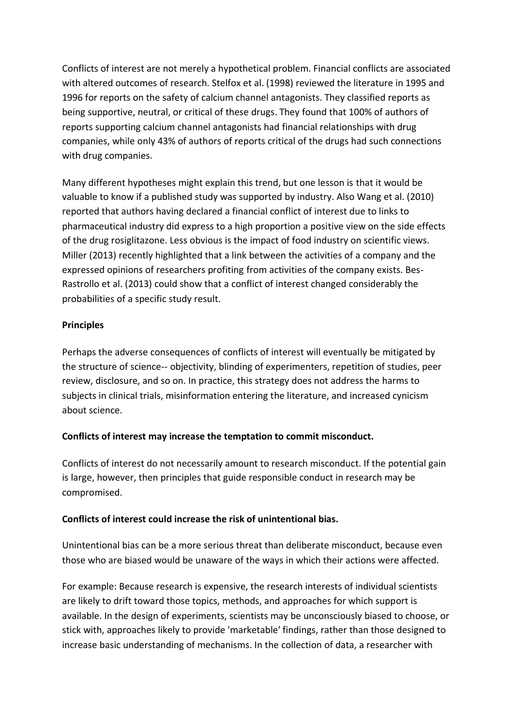Conflicts of interest are not merely a hypothetical problem. Financial conflicts are associated with altered outcomes of research. Stelfox et al. (1998) reviewed the literature in 1995 and 1996 for reports on the safety of calcium channel antagonists. They classified reports as being supportive, neutral, or critical of these drugs. They found that 100% of authors of reports supporting calcium channel antagonists had financial relationships with drug companies, while only 43% of authors of reports critical of the drugs had such connections with drug companies.

Many different hypotheses might explain this trend, but one lesson is that it would be valuable to know if a published study was supported by industry. Also Wang et al. (2010) reported that authors having declared a financial conflict of interest due to links to pharmaceutical industry did express to a high proportion a positive view on the side effects of the drug rosiglitazone. Less obvious is the impact of food industry on scientific views. Miller (2013) recently highlighted that a link between the activities of a company and the expressed opinions of researchers profiting from activities of the company exists. Bes-Rastrollo et al. (2013) could show that a conflict of interest changed considerably the probabilities of a specific study result.

## **Principles**

Perhaps the adverse consequences of conflicts of interest will eventually be mitigated by the structure of science-- objectivity, blinding of experimenters, repetition of studies, peer review, disclosure, and so on. In practice, this strategy does not address the harms to subjects in clinical trials, misinformation entering the literature, and increased cynicism about science.

## **Conflicts of interest may increase the temptation to commit misconduct.**

Conflicts of interest do not necessarily amount to research misconduct. If the potential gain is large, however, then principles that guide responsible conduct in research may be compromised.

#### **Conflicts of interest could increase the risk of unintentional bias.**

Unintentional bias can be a more serious threat than deliberate misconduct, because even those who are biased would be unaware of the ways in which their actions were affected.

For example: Because research is expensive, the research interests of individual scientists are likely to drift toward those topics, methods, and approaches for which support is available. In the design of experiments, scientists may be unconsciously biased to choose, or stick with, approaches likely to provide 'marketable' findings, rather than those designed to increase basic understanding of mechanisms. In the collection of data, a researcher with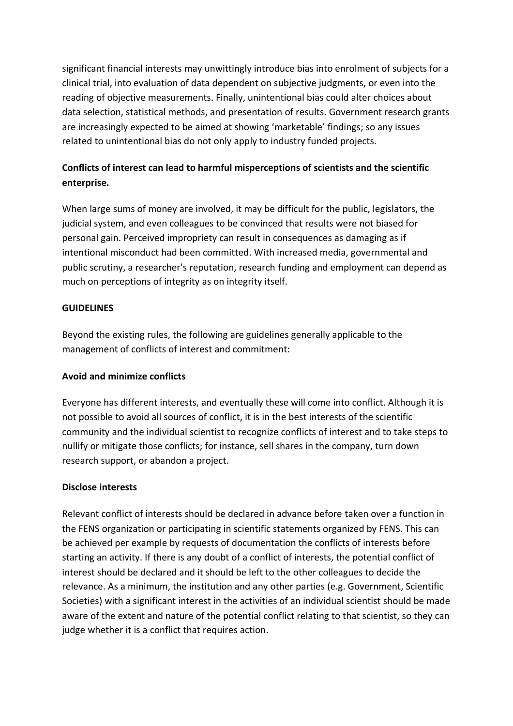significant financial interests may unwittingly introduce bias into enrolment of subjects for a clinical trial, into evaluation of data dependent on subjective judgments, or even into the reading of objective measurements. Finally, unintentional bias could alter choices about data selection, statistical methods, and presentation of results. Government research grants are increasingly expected to be aimed at showing 'marketable' findings; so any issues related to unintentional bias do not only apply to industry funded projects.

# **Conflicts of interest can lead to harmful misperceptions of scientists and the scientific enterprise.**

When large sums of money are involved, it may be difficult for the public, legislators, the judicial system, and even colleagues to be convinced that results were not biased for personal gain. Perceived impropriety can result in consequences as damaging as if intentional misconduct had been committed. With increased media, governmental and public scrutiny, a researcher's reputation, research funding and employment can depend as much on perceptions of integrity as on integrity itself.

## **GUIDELINES**

Beyond the existing rules, the following are guidelines generally applicable to the management of conflicts of interest and commitment:

# **Avoid and minimize conflicts**

Everyone has different interests, and eventually these will come into conflict. Although it is not possible to avoid all sources of conflict, it is in the best interests of the scientific community and the individual scientist to recognize conflicts of interest and to take steps to nullify or mitigate those conflicts; for instance, sell shares in the company, turn down research support, or abandon a project.

# **Disclose interests**

Relevant conflict of interests should be declared in advance before taken over a function in the FENS organization or participating in scientific statements organized by FENS. This can be achieved per example by requests of documentation the conflicts of interests before starting an activity. If there is any doubt of a conflict of interests, the potential conflict of interest should be declared and it should be left to the other colleagues to decide the relevance. As a minimum, the institution and any other parties (e.g. Government, Scientific Societies) with a significant interest in the activities of an individual scientist should be made aware of the extent and nature of the potential conflict relating to that scientist, so they can judge whether it is a conflict that requires action.